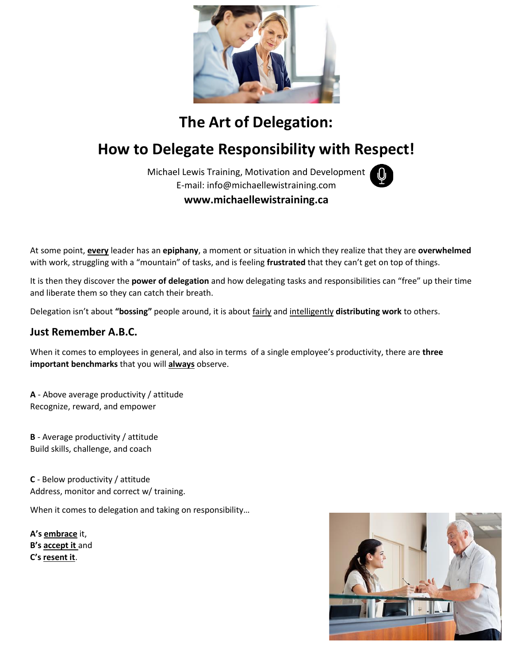

# **The Art of Delegation:**

# **How to Delegate Responsibility with Respect!**

Michael Lewis Training, Motivation and Development E-mail: info@michaellewistraining.com **www.michaellewistraining.ca**

At some point, **every** leader has an **epiphany**, a moment or situation in which they realize that they are **overwhelmed** with work, struggling with a "mountain" of tasks, and is feeling **frustrated** that they can't get on top of things.

It is then they discover the **power of delegation** and how delegating tasks and responsibilities can "free" up their time and liberate them so they can catch their breath.

Delegation isn't about **"bossing"** people around, it is about fairly and intelligently **distributing work** to others.

### **Just Remember A.B.C.**

When it comes to employees in general, and also in terms of a single employee's productivity, there are **three important benchmarks** that you will **always** observe.

**A** - Above average productivity / attitude Recognize, reward, and empower

**B** - Average productivity / attitude Build skills, challenge, and coach

**C** - Below productivity / attitude Address, monitor and correct w/ training.

When it comes to delegation and taking on responsibility…

**A's embrace** it, **B's accept it** and **C's resent it**.

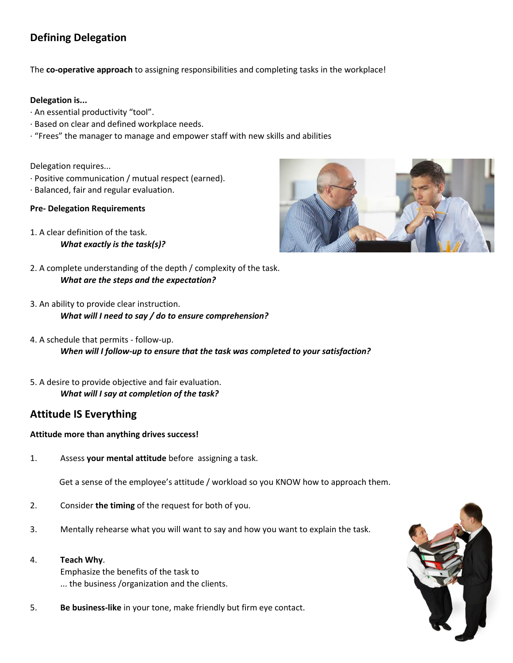# **Defining Delegation**

The **co-operative approach** to assigning responsibilities and completing tasks in the workplace!

#### **Delegation is...**

- · An essential productivity "tool".
- · Based on clear and defined workplace needs.
- · "Frees" the manager to manage and empower staff with new skills and abilities

Delegation requires...

- · Positive communication / mutual respect (earned).
- · Balanced, fair and regular evaluation.

#### **Pre- Delegation Requirements**

- 1. A clear definition of the task. *What exactly is the task(s)?*
- 2. A complete understanding of the depth / complexity of the task. *What are the steps and the expectation?*
- 3. An ability to provide clear instruction. *What will I need to say / do to ensure comprehension?*
- 4. A schedule that permits follow-up. *When will I follow-up to ensure that the task was completed to your satisfaction?*
- 5. A desire to provide objective and fair evaluation. *What will I say at completion of the task?*

## **Attitude IS Everything**

#### **Attitude more than anything drives success!**

1. Assess **your mental attitude** before assigning a task.

Get a sense of the employee's attitude / workload so you KNOW how to approach them.

- 2. Consider **the timing** of the request for both of you.
- 3. Mentally rehearse what you will want to say and how you want to explain the task.
- 4. **Teach Why**.

Emphasize the benefits of the task to ... the business /organization and the clients.

5. **Be business-like** in your tone, make friendly but firm eye contact.



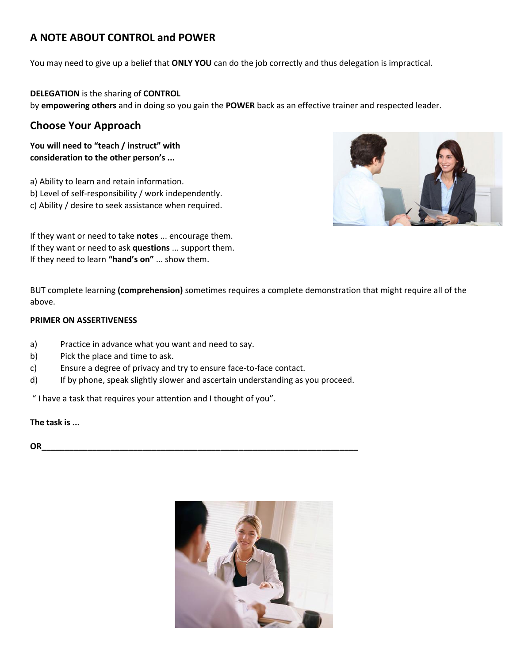# **A NOTE ABOUT CONTROL and POWER**

You may need to give up a belief that **ONLY YOU** can do the job correctly and thus delegation is impractical.

**DELEGATION** is the sharing of **CONTROL** by **empowering others** and in doing so you gain the **POWER** back as an effective trainer and respected leader.

## **Choose Your Approach**

**You will need to "teach / instruct" with consideration to the other person's ...**

a) Ability to learn and retain information. b) Level of self-responsibility / work independently. c) Ability / desire to seek assistance when required.

If they want or need to take **notes** ... encourage them. If they want or need to ask **questions** ... support them. If they need to learn **"hand's on"** ... show them.

BUT complete learning **(comprehension)** sometimes requires a complete demonstration that might require all of the above.

#### **PRIMER ON ASSERTIVENESS**

- a) Practice in advance what you want and need to say.
- b) Pick the place and time to ask.
- c) Ensure a degree of privacy and try to ensure face-to-face contact.
- d) If by phone, speak slightly slower and ascertain understanding as you proceed.

" I have a task that requires your attention and I thought of you".

**The task is ...**

**OR\_\_\_\_\_\_\_\_\_\_\_\_\_\_\_\_\_\_\_\_\_\_\_\_\_\_\_\_\_\_\_\_\_\_\_\_\_\_\_\_\_\_\_\_\_\_\_\_\_\_\_\_\_\_\_\_\_\_\_\_\_\_\_\_\_\_\_\_\_**



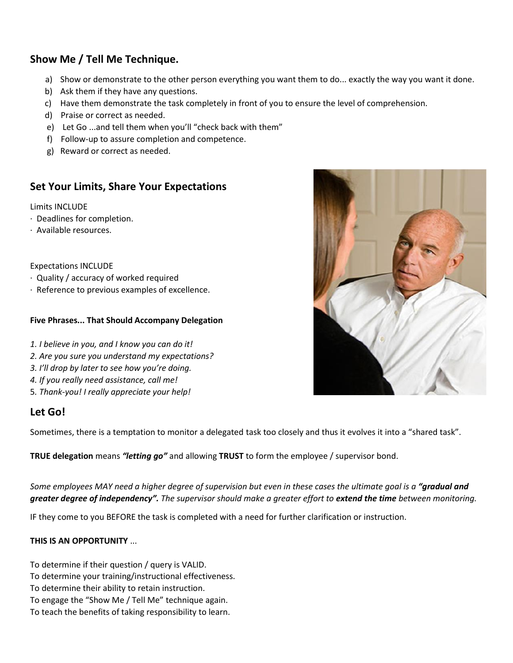# **Show Me / Tell Me Technique.**

- a) Show or demonstrate to the other person everything you want them to do... exactly the way you want it done.
- b) Ask them if they have any questions.
- c) Have them demonstrate the task completely in front of you to ensure the level of comprehension.
- d) Praise or correct as needed.
- e) Let Go ...and tell them when you'll "check back with them"
- f) Follow-up to assure completion and competence.
- g) Reward or correct as needed.

## **Set Your Limits, Share Your Expectations**

Limits INCLUDE

- · Deadlines for completion.
- · Available resources.

Expectations INCLUDE

- · Quality / accuracy of worked required
- · Reference to previous examples of excellence.

#### **Five Phrases... That Should Accompany Delegation**

- *1. I believe in you, and I know you can do it!*
- *2. Are you sure you understand my expectations?*
- *3. I'll drop by later to see how you're doing.*
- *4. If you really need assistance, call me!*
- 5*. Thank-you! I really appreciate your help!*

### **Let Go!**

Sometimes, there is a temptation to monitor a delegated task too closely and thus it evolves it into a "shared task".

**TRUE delegation** means *"letting go"* and allowing **TRUST** to form the employee / supervisor bond.

Some employees MAY need a higher degree of supervision but even in these cases the ultimate goal is a "**gradual and** *greater degree of independency". The supervisor should make a greater effort to extend the time between monitoring.*

IF they come to you BEFORE the task is completed with a need for further clarification or instruction.

#### **THIS IS AN OPPORTUNITY** ...

To determine if their question / query is VALID.

To determine your training/instructional effectiveness.

- To determine their ability to retain instruction.
- To engage the "Show Me / Tell Me" technique again.
- To teach the benefits of taking responsibility to learn.